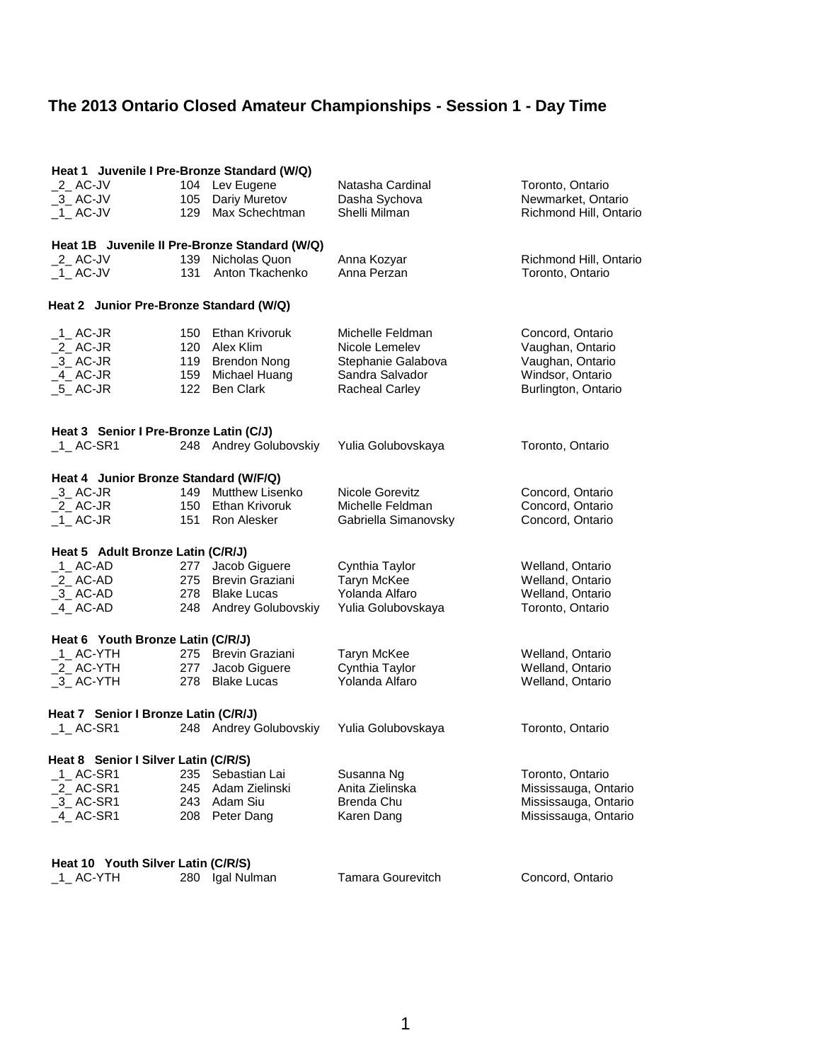| Heat 1 Juvenile I Pre-Bronze Standard (W/Q)   |     |                        |                          |                        |  |  |
|-----------------------------------------------|-----|------------------------|--------------------------|------------------------|--|--|
| $2$ AC-JV                                     |     | 104 Lev Eugene         | Natasha Cardinal         | Toronto, Ontario       |  |  |
| $-3$ AC-JV                                    | 105 | Dariy Muretov          | Dasha Sychova            | Newmarket, Ontario     |  |  |
| $-1$ AC-JV                                    | 129 | Max Schechtman         | Shelli Milman            | Richmond Hill, Ontario |  |  |
| Heat 1B Juvenile II Pre-Bronze Standard (W/Q) |     |                        |                          |                        |  |  |
| $2$ AC-JV                                     |     | 139 Nicholas Quon      | Anna Kozyar              | Richmond Hill, Ontario |  |  |
| $-1$ AC-JV                                    |     | 131 Anton Tkachenko    | Anna Perzan              | Toronto, Ontario       |  |  |
|                                               |     |                        |                          |                        |  |  |
| Heat 2 Junior Pre-Bronze Standard (W/Q)       |     |                        |                          |                        |  |  |
| $-1$ AC-JR                                    | 150 | <b>Ethan Krivoruk</b>  | Michelle Feldman         | Concord, Ontario       |  |  |
| $2$ AC-JR                                     |     | 120 Alex Klim          | Nicole Lemelev           | Vaughan, Ontario       |  |  |
| $-3$ AC-JR                                    |     | 119 Brendon Nong       | Stephanie Galabova       | Vaughan, Ontario       |  |  |
| $-4$ AC-JR                                    | 159 | Michael Huang          | Sandra Salvador          | Windsor, Ontario       |  |  |
| $-5$ AC-JR                                    |     | 122 Ben Clark          | Racheal Carley           | Burlington, Ontario    |  |  |
|                                               |     |                        |                          |                        |  |  |
| Heat 3 Senior I Pre-Bronze Latin (C/J)        |     |                        |                          |                        |  |  |
| $-1$ AC-SR1                                   |     | 248 Andrey Golubovskiy | Yulia Golubovskaya       | Toronto, Ontario       |  |  |
| Heat 4 Junior Bronze Standard (W/F/Q)         |     |                        |                          |                        |  |  |
| $-3$ AC-JR                                    |     | 149 Mutthew Lisenko    | Nicole Gorevitz          | Concord, Ontario       |  |  |
| $_2$ AC-JR                                    |     | 150 Ethan Krivoruk     | Michelle Feldman         | Concord, Ontario       |  |  |
| $-1$ AC-JR                                    | 151 | Ron Alesker            | Gabriella Simanovsky     | Concord, Ontario       |  |  |
| Heat 5 Adult Bronze Latin (C/R/J)             |     |                        |                          |                        |  |  |
| $-1$ AC-AD                                    | 277 | Jacob Giguere          | Cynthia Taylor           | Welland, Ontario       |  |  |
| _2_ AC-AD                                     |     | 275 Brevin Graziani    | Taryn McKee              | Welland, Ontario       |  |  |
| $-3$ AC-AD                                    |     | 278 Blake Lucas        | Yolanda Alfaro           | Welland, Ontario       |  |  |
| $-4$ AC-AD                                    |     | 248 Andrey Golubovskiy | Yulia Golubovskaya       | Toronto, Ontario       |  |  |
| Heat 6 Youth Bronze Latin (C/R/J)             |     |                        |                          |                        |  |  |
| _1_ AC-YTH                                    |     | 275 Brevin Graziani    | Taryn McKee              | Welland, Ontario       |  |  |
| 2_AC-YTH                                      | 277 | Jacob Giguere          | Cynthia Taylor           | Welland, Ontario       |  |  |
| $-3$ AC-YTH                                   |     | 278 Blake Lucas        | Yolanda Alfaro           | Welland, Ontario       |  |  |
| Heat 7 Senior I Bronze Latin (C/R/J)          |     |                        |                          |                        |  |  |
| $_1$ AC-SR1                                   |     | 248 Andrey Golubovskiy | Yulia Golubovskaya       | Toronto, Ontario       |  |  |
| Heat 8 Senior I Silver Latin (C/R/S)          |     |                        |                          |                        |  |  |
| 1 AC-SR1                                      | 235 | Sebastian Lai          | Susanna Ng               | Toronto, Ontario       |  |  |
| 2_AC-SR1                                      | 245 | Adam Zielinski         | Anita Zielinska          | Mississauga, Ontario   |  |  |
| $-3$ AC-SR1                                   | 243 | Adam Siu               | Brenda Chu               | Mississauga, Ontario   |  |  |
| $-4$ AC-SR1                                   | 208 | Peter Dang             | Karen Dang               | Mississauga, Ontario   |  |  |
|                                               |     |                        |                          |                        |  |  |
| Heat 10 Youth Silver Latin (C/R/S)            |     |                        |                          |                        |  |  |
|                                               |     |                        |                          |                        |  |  |
| _1_ AC-YTH                                    |     | 280 Igal Nulman        | <b>Tamara Gourevitch</b> | Concord, Ontario       |  |  |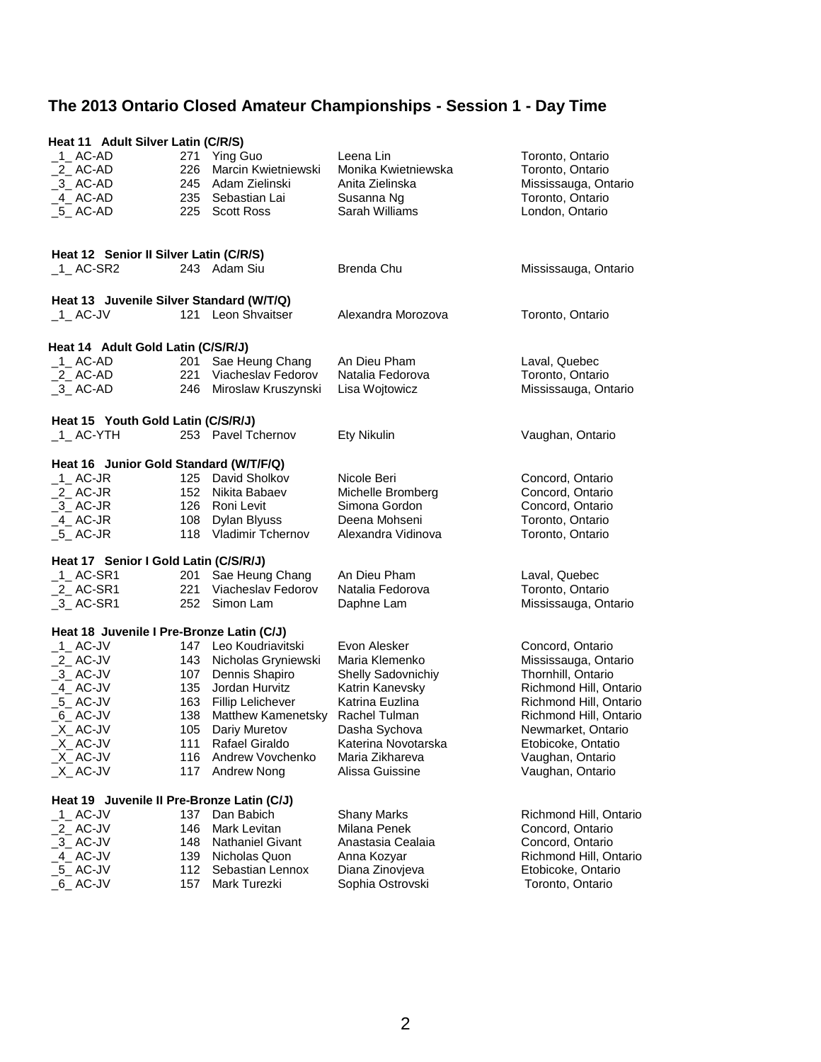|                                            | Heat 11 Adult Silver Latin (C/R/S) |                         |                     |                        |  |  |  |
|--------------------------------------------|------------------------------------|-------------------------|---------------------|------------------------|--|--|--|
| 1 AC-AD                                    | 271                                | <b>Ying Guo</b>         | Leena Lin           | Toronto, Ontario       |  |  |  |
| $_2$ AC-AD                                 | 226                                | Marcin Kwietniewski     | Monika Kwietniewska | Toronto, Ontario       |  |  |  |
| $-3$ AC-AD                                 |                                    | 245 Adam Zielinski      | Anita Zielinska     | Mississauga, Ontario   |  |  |  |
| 4 AC-AD                                    |                                    | 235 Sebastian Lai       | Susanna Ng          | Toronto, Ontario       |  |  |  |
| $-5$ AC-AD                                 |                                    | 225 Scott Ross          | Sarah Williams      | London, Ontario        |  |  |  |
|                                            |                                    |                         |                     |                        |  |  |  |
|                                            |                                    |                         |                     |                        |  |  |  |
| Heat 12 Senior II Silver Latin (C/R/S)     |                                    |                         |                     |                        |  |  |  |
| $-1$ AC-SR2                                |                                    | 243 Adam Siu            | <b>Brenda Chu</b>   | Mississauga, Ontario   |  |  |  |
| Heat 13 Juvenile Silver Standard (W/T/Q)   |                                    |                         |                     |                        |  |  |  |
| 1 AC-JV                                    |                                    | 121 Leon Shvaitser      | Alexandra Morozova  | Toronto, Ontario       |  |  |  |
|                                            |                                    |                         |                     |                        |  |  |  |
| Heat 14 Adult Gold Latin (C/S/R/J)         |                                    |                         |                     |                        |  |  |  |
| 1 AC-AD                                    | 201                                | Sae Heung Chang         | An Dieu Pham        | Laval, Quebec          |  |  |  |
| $_2$ AC-AD                                 | 221                                | Viacheslav Fedorov      | Natalia Fedorova    | Toronto, Ontario       |  |  |  |
| $-3$ AC-AD                                 | 246                                | Miroslaw Kruszynski     | Lisa Wojtowicz      | Mississauga, Ontario   |  |  |  |
|                                            |                                    |                         |                     |                        |  |  |  |
| Heat 15 Youth Gold Latin (C/S/R/J)         |                                    |                         |                     |                        |  |  |  |
| $_1$ AC-YTH                                |                                    | 253 Pavel Tchernov      | Ety Nikulin         | Vaughan, Ontario       |  |  |  |
|                                            |                                    |                         |                     |                        |  |  |  |
| Heat 16 Junior Gold Standard (W/T/F/Q)     |                                    |                         |                     |                        |  |  |  |
| $-1$ AC-JR                                 |                                    | 125 David Sholkov       | Nicole Beri         | Concord, Ontario       |  |  |  |
| $_2$ AC-JR                                 |                                    | 152 Nikita Babaev       | Michelle Bromberg   | Concord, Ontario       |  |  |  |
| $-3$ AC-JR                                 |                                    | 126 Roni Levit          | Simona Gordon       | Concord, Ontario       |  |  |  |
| $-4$ AC-JR                                 |                                    | 108 Dylan Blyuss        | Deena Mohseni       | Toronto, Ontario       |  |  |  |
| $-5$ AC-JR                                 |                                    | 118 Vladimir Tchernov   | Alexandra Vidinova  | Toronto, Ontario       |  |  |  |
| Heat 17 Senior I Gold Latin (C/S/R/J)      |                                    |                         |                     |                        |  |  |  |
| $_1$ AC-SR1                                | 201                                | Sae Heung Chang         | An Dieu Pham        | Laval, Quebec          |  |  |  |
| $_2$ AC-SR1                                | 221                                | Viacheslav Fedorov      | Natalia Fedorova    | Toronto, Ontario       |  |  |  |
| $-3$ AC-SR1                                |                                    | 252 Simon Lam           | Daphne Lam          | Mississauga, Ontario   |  |  |  |
|                                            |                                    |                         |                     |                        |  |  |  |
| Heat 18 Juvenile I Pre-Bronze Latin (C/J)  |                                    |                         |                     |                        |  |  |  |
| $-1$ AC-JV                                 |                                    | 147 Leo Koudriavitski   | Evon Alesker        | Concord, Ontario       |  |  |  |
| $2$ AC-JV                                  | 143                                | Nicholas Gryniewski     | Maria Klemenko      | Mississauga, Ontario   |  |  |  |
| $-3$ AC-JV                                 | 107                                | Dennis Shapiro          | Shelly Sadovnichiy  | Thornhill, Ontario     |  |  |  |
| $-4$ AC-JV                                 | 135                                | Jordan Hurvitz          | Katrin Kanevsky     | Richmond Hill, Ontario |  |  |  |
| $-5$ AC-JV                                 |                                    | 163 Fillip Lelichever   | Katrina Euzlina     | Richmond Hill, Ontario |  |  |  |
| $_6$ AC-JV                                 | 138                                | Matthew Kamenetsky      | Rachel Tulman       | Richmond Hill, Ontario |  |  |  |
| $X$ AC-JV                                  | 105                                | Dariy Muretov           | Dasha Sychova       | Newmarket, Ontario     |  |  |  |
| $X$ AC-JV                                  | 111                                | Rafael Giraldo          | Katerina Novotarska | Etobicoke, Ontatio     |  |  |  |
| $X$ AC-JV                                  | 116                                | Andrew Vovchenko        | Maria Zikhareva     | Vaughan, Ontario       |  |  |  |
| $X$ <sub>_</sub> AC-JV                     | 117                                | Andrew Nong             | Alissa Guissine     | Vaughan, Ontario       |  |  |  |
|                                            |                                    |                         |                     |                        |  |  |  |
| Heat 19 Juvenile II Pre-Bronze Latin (C/J) |                                    |                         |                     |                        |  |  |  |
| $-1$ AC-JV                                 | 137                                | Dan Babich              | <b>Shany Marks</b>  | Richmond Hill, Ontario |  |  |  |
| $_2$ AC-JV                                 | 146                                | Mark Levitan            | Milana Penek        | Concord, Ontario       |  |  |  |
| $-3$ AC-JV                                 | 148                                | <b>Nathaniel Givant</b> | Anastasia Cealaia   | Concord, Ontario       |  |  |  |
| $-4$ AC-JV                                 | 139                                | Nicholas Quon           | Anna Kozyar         | Richmond Hill, Ontario |  |  |  |
| $-5$ AC-JV                                 | 112                                | Sebastian Lennox        | Diana Zinovjeva     | Etobicoke, Ontario     |  |  |  |
| $_6$ AC-JV                                 | 157                                | Mark Turezki            | Sophia Ostrovski    | Toronto, Ontario       |  |  |  |
|                                            |                                    |                         |                     |                        |  |  |  |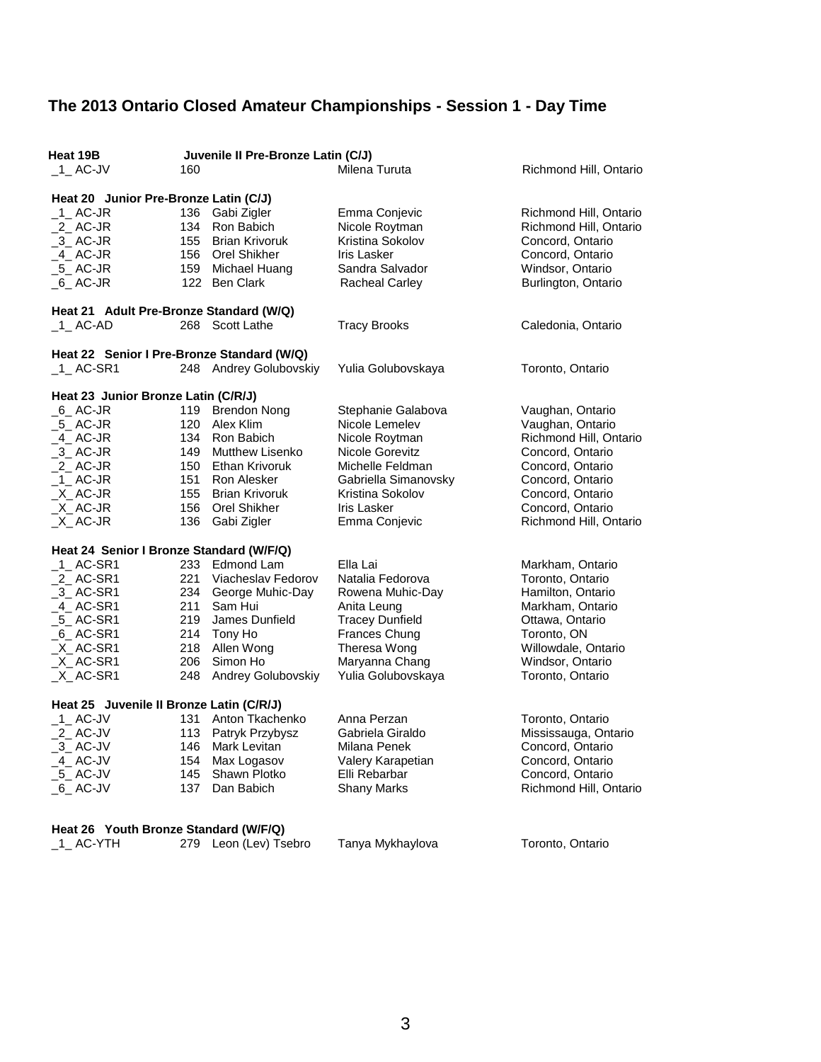| Heat 19B<br>$-1$ AC-JV                     | 160 | Juvenile II Pre-Bronze Latin (C/J) | Milena Turuta          | Richmond Hill, Ontario |  |
|--------------------------------------------|-----|------------------------------------|------------------------|------------------------|--|
|                                            |     |                                    |                        |                        |  |
| Heat 20 Junior Pre-Bronze Latin (C/J)      |     |                                    |                        |                        |  |
| $-1$ AC-JR                                 |     | 136 Gabi Zigler                    | Emma Conjevic          | Richmond Hill, Ontario |  |
| $_2$ AC-JR                                 |     | 134 Ron Babich                     | Nicole Roytman         | Richmond Hill, Ontario |  |
| $-3$ AC-JR                                 |     | 155 Brian Krivoruk                 | Kristina Sokolov       | Concord, Ontario       |  |
| $-4$ AC-JR                                 |     | 156 Orel Shikher                   | <b>Iris Lasker</b>     | Concord, Ontario       |  |
| $-5$ AC-JR                                 |     | 159 Michael Huang                  | Sandra Salvador        | Windsor, Ontario       |  |
| $_6$ AC-JR                                 |     | 122 Ben Clark                      | <b>Racheal Carley</b>  | Burlington, Ontario    |  |
| Heat 21 Adult Pre-Bronze Standard (W/Q)    |     |                                    |                        |                        |  |
| $-1$ AC-AD                                 |     | 268 Scott Lathe                    | <b>Tracy Brooks</b>    | Caledonia, Ontario     |  |
| Heat 22 Senior I Pre-Bronze Standard (W/Q) |     |                                    |                        |                        |  |
| $_1$ AC-SR1                                |     | 248 Andrey Golubovskiy             | Yulia Golubovskaya     | Toronto, Ontario       |  |
|                                            |     |                                    |                        |                        |  |
| Heat 23 Junior Bronze Latin (C/R/J)        |     |                                    |                        |                        |  |
| $_6$ AC-JR                                 | 119 | <b>Brendon Nong</b>                | Stephanie Galabova     | Vaughan, Ontario       |  |
| _5_ AC-JR                                  |     | 120 Alex Klim                      | Nicole Lemelev         | Vaughan, Ontario       |  |
| $-4$ AC-JR                                 |     | 134 Ron Babich                     | Nicole Roytman         | Richmond Hill, Ontario |  |
| $-3$ AC-JR                                 |     | 149 Mutthew Lisenko                | Nicole Gorevitz        | Concord, Ontario       |  |
| $2$ AC-JR                                  |     | 150 Ethan Krivoruk                 | Michelle Feldman       | Concord, Ontario       |  |
| $-1$ AC-JR                                 |     | 151 Ron Alesker                    | Gabriella Simanovsky   | Concord, Ontario       |  |
| X AC-JR                                    |     | 155 Brian Krivoruk                 | Kristina Sokolov       | Concord, Ontario       |  |
| $X$ AC-JR                                  |     | 156 Orel Shikher                   | <b>Iris Lasker</b>     | Concord, Ontario       |  |
| $X$ AC-JR                                  | 136 | Gabi Zigler                        | Emma Conjevic          | Richmond Hill, Ontario |  |
| Heat 24 Senior I Bronze Standard (W/F/Q)   |     |                                    |                        |                        |  |
| $_1$ _AC-SR1                               | 233 | Edmond Lam                         | Ella Lai               | Markham, Ontario       |  |
| $2$ AC-SR1                                 | 221 | Viacheslav Fedorov                 | Natalia Fedorova       | Toronto, Ontario       |  |
| $-3$ AC-SR1                                |     | 234 George Muhic-Day               | Rowena Muhic-Day       | Hamilton, Ontario      |  |
| $-4$ AC-SR1                                | 211 | Sam Hui                            | Anita Leung            | Markham, Ontario       |  |
| $-5$ AC-SR1                                | 219 | James Dunfield                     | <b>Tracey Dunfield</b> | Ottawa, Ontario        |  |
| $_6$ AC-SR1                                |     | 214 Tony Ho                        | Frances Chung          | Toronto, ON            |  |
| $X$ <sub>_</sub> AC-SR1                    |     | 218 Allen Wong                     | Theresa Wong           | Willowdale, Ontario    |  |
| $X$ <sub>_</sub> AC-SR1                    | 206 | Simon Ho                           | Maryanna Chang         | Windsor, Ontario       |  |
| $X$ <sub>_</sub> AC-SR1                    | 248 | Andrey Golubovskiy                 | Yulia Golubovskaya     | Toronto, Ontario       |  |
|                                            |     |                                    |                        |                        |  |
| Heat 25 Juvenile II Bronze Latin (C/R/J)   |     |                                    |                        |                        |  |
| $-1$ AC-JV                                 | 131 | Anton Tkachenko                    | Anna Perzan            | Toronto, Ontario       |  |
| 2_AC-JV                                    | 113 | Patryk Przybysz                    | Gabriela Giraldo       | Mississauga, Ontario   |  |
| $-3$ AC-JV                                 | 146 | Mark Levitan                       | Milana Penek           | Concord, Ontario       |  |
| 4 AC-JV                                    | 154 | Max Logasov                        | Valery Karapetian      | Concord, Ontario       |  |
| $-5$ AC-JV                                 | 145 | Shawn Plotko                       | Elli Rebarbar          | Concord, Ontario       |  |
| $_6$ AC-JV                                 | 137 | Dan Babich                         | <b>Shany Marks</b>     | Richmond Hill, Ontario |  |
|                                            |     |                                    |                        |                        |  |
| Heat 26 Youth Bronze Standard (W/F/Q)      |     |                                    |                        |                        |  |
| 1 AC-YTH                                   |     | 279 Leon (Lev) Tsebro              | Tanya Mykhaylova       | Toronto, Ontario       |  |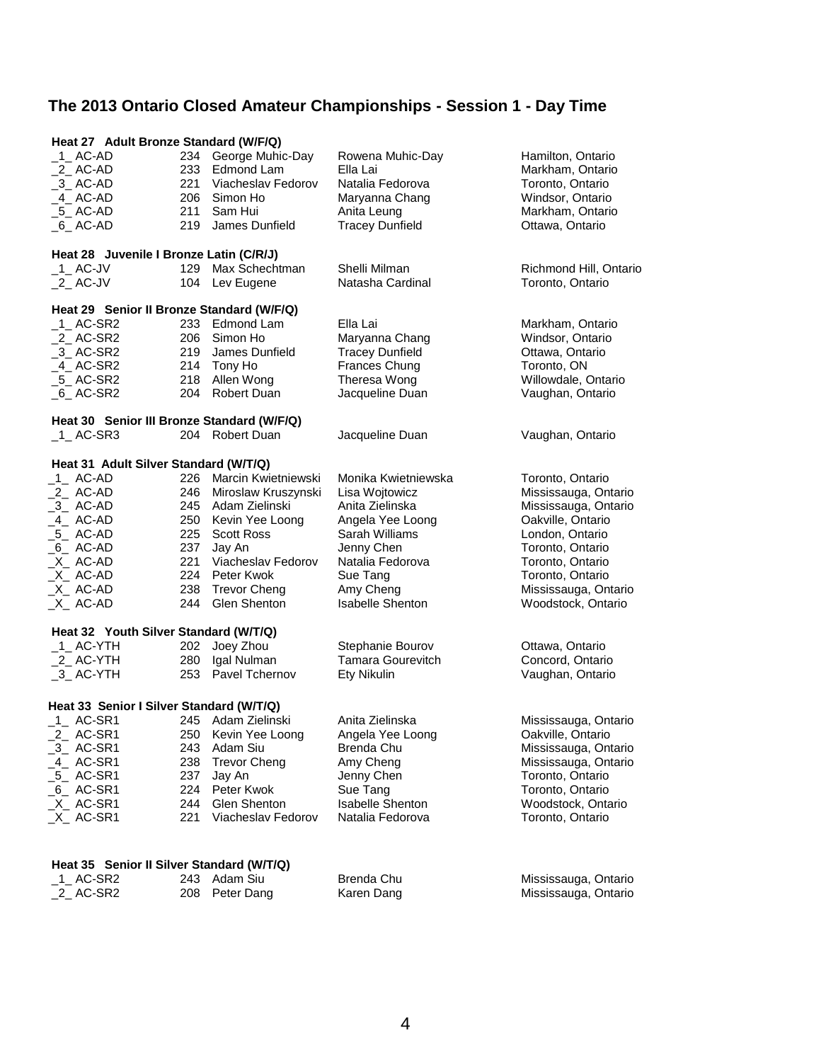| Heat 27 Adult Bronze Standard (W/F/Q)      |     |                         |                          |                        |  |
|--------------------------------------------|-----|-------------------------|--------------------------|------------------------|--|
| $\_$ 1 $\_$ AC-AD                          |     | 234 George Muhic-Day    | Rowena Muhic-Day         | Hamilton, Ontario      |  |
| $2$ AC-AD                                  | 233 | Edmond Lam              | Ella Lai                 | Markham, Ontario       |  |
| $-3$ AC-AD                                 |     | 221 Viacheslav Fedorov  | Natalia Fedorova         | Toronto, Ontario       |  |
| 4 AC-AD                                    |     | 206 Simon Ho            | Maryanna Chang           | Windsor, Ontario       |  |
| $-5$ AC-AD                                 | 211 | Sam Hui                 | Anita Leung              | Markham, Ontario       |  |
| $_6$ AC-AD                                 | 219 | James Dunfield          | <b>Tracey Dunfield</b>   | Ottawa, Ontario        |  |
|                                            |     |                         |                          |                        |  |
| Heat 28 Juvenile I Bronze Latin (C/R/J)    |     |                         |                          |                        |  |
| $\_$ 1 $\_$ AC-JV                          | 129 | Max Schechtman          | Shelli Milman            | Richmond Hill, Ontario |  |
|                                            |     |                         | Natasha Cardinal         |                        |  |
| $2$ AC-JV                                  | 104 | Lev Eugene              |                          | Toronto, Ontario       |  |
| Heat 29 Senior II Bronze Standard (W/F/Q)  |     |                         |                          |                        |  |
| $-1$ AC-SR2                                | 233 | Edmond Lam              | Ella Lai                 | Markham, Ontario       |  |
| $_2$ AC-SR2                                | 206 | Simon Ho                | Maryanna Chang           | Windsor, Ontario       |  |
|                                            | 219 | James Dunfield          | <b>Tracey Dunfield</b>   |                        |  |
| $-3$ AC-SR2                                |     |                         |                          | Ottawa, Ontario        |  |
| $-4$ AC-SR2                                |     | 214 Tony Ho             | Frances Chung            | Toronto, ON            |  |
| $-5$ AC-SR2                                | 218 | Allen Wong              | Theresa Wong             | Willowdale, Ontario    |  |
| $_6$ AC-SR2                                | 204 | Robert Duan             | Jacqueline Duan          | Vaughan, Ontario       |  |
| Heat 30 Senior III Bronze Standard (W/F/Q) |     |                         |                          |                        |  |
|                                            |     |                         |                          |                        |  |
| $_1$ AC-SR3                                |     | 204 Robert Duan         | Jacqueline Duan          | Vaughan, Ontario       |  |
| Heat 31 Adult Silver Standard (W/T/Q)      |     |                         |                          |                        |  |
| $1$ AC-AD                                  |     | 226 Marcin Kwietniewski | Monika Kwietniewska      | Toronto, Ontario       |  |
|                                            | 246 |                         |                          |                        |  |
| _2_ AC-AD                                  |     | Miroslaw Kruszynski     | Lisa Wojtowicz           | Mississauga, Ontario   |  |
| $-3$ AC-AD                                 |     | 245 Adam Zielinski      | Anita Zielinska          | Mississauga, Ontario   |  |
| _4__ AC-AD                                 |     | 250 Kevin Yee Loong     | Angela Yee Loong         | Oakville, Ontario      |  |
| $-5$ AC-AD                                 | 225 | <b>Scott Ross</b>       | Sarah Williams           | London, Ontario        |  |
| _6_AC-AD                                   | 237 | Jay An                  | Jenny Chen               | Toronto, Ontario       |  |
| $X$ AC-AD                                  | 221 | Viacheslav Fedorov      | Natalia Fedorova         | Toronto, Ontario       |  |
| _X__ AC-AD                                 |     | 224 Peter Kwok          | Sue Tang                 | Toronto, Ontario       |  |
| $X$ AC-AD                                  | 238 | <b>Trevor Cheng</b>     | Amy Cheng                | Mississauga, Ontario   |  |
|                                            |     | Glen Shenton            | <b>Isabelle Shenton</b>  |                        |  |
| $X$ AC-AD                                  | 244 |                         |                          | Woodstock, Ontario     |  |
| Heat 32 Youth Silver Standard (W/T/Q)      |     |                         |                          |                        |  |
| $_1$ AC-YTH                                | 202 | Joey Zhou               | Stephanie Bourov         | Ottawa, Ontario        |  |
| _2_ AC-YTH                                 | 280 | Igal Nulman             | <b>Tamara Gourevitch</b> | Concord, Ontario       |  |
|                                            |     | 253 Pavel Tchernov      | Ety Nikulin              | Vaughan, Ontario       |  |
| $-3$ AC-YTH                                |     |                         |                          |                        |  |
| Heat 33 Senior I Silver Standard (W/T/Q)   |     |                         |                          |                        |  |
| $1$ AC-SR1                                 |     | 245 Adam Zielinski      | Anita Zielinska          | Mississauga, Ontario   |  |
|                                            |     |                         |                          |                        |  |
| 2_AC-SR1                                   | 250 | Kevin Yee Loong         | Angela Yee Loong         | Oakville, Ontario      |  |
| $-3$ AC-SR1                                | 243 | Adam Siu                | Brenda Chu               | Mississauga, Ontario   |  |
| 4 AC-SR1                                   | 238 | <b>Trevor Cheng</b>     | Amy Cheng                | Mississauga, Ontario   |  |
| $-5$ AC-SR1                                | 237 | Jay An                  | Jenny Chen               | Toronto, Ontario       |  |
| $_6$ AC-SR1                                | 224 | Peter Kwok              | Sue Tang                 | Toronto, Ontario       |  |
| $X$ AC-SR1                                 | 244 | Glen Shenton            | <b>Isabelle Shenton</b>  | Woodstock, Ontario     |  |
| $X$ AC-SR1                                 | 221 | Viacheslav Fedorov      | Natalia Fedorova         | Toronto, Ontario       |  |
|                                            |     |                         |                          |                        |  |
|                                            |     |                         |                          |                        |  |
| Heat 35 Senior II Silver Standard (W/T/Q)  |     |                         |                          |                        |  |
| $1$ <sub>_</sub> AC-SR2                    |     | 243 Adam Siu            | Brenda Chu               | Mississauga, Ontario   |  |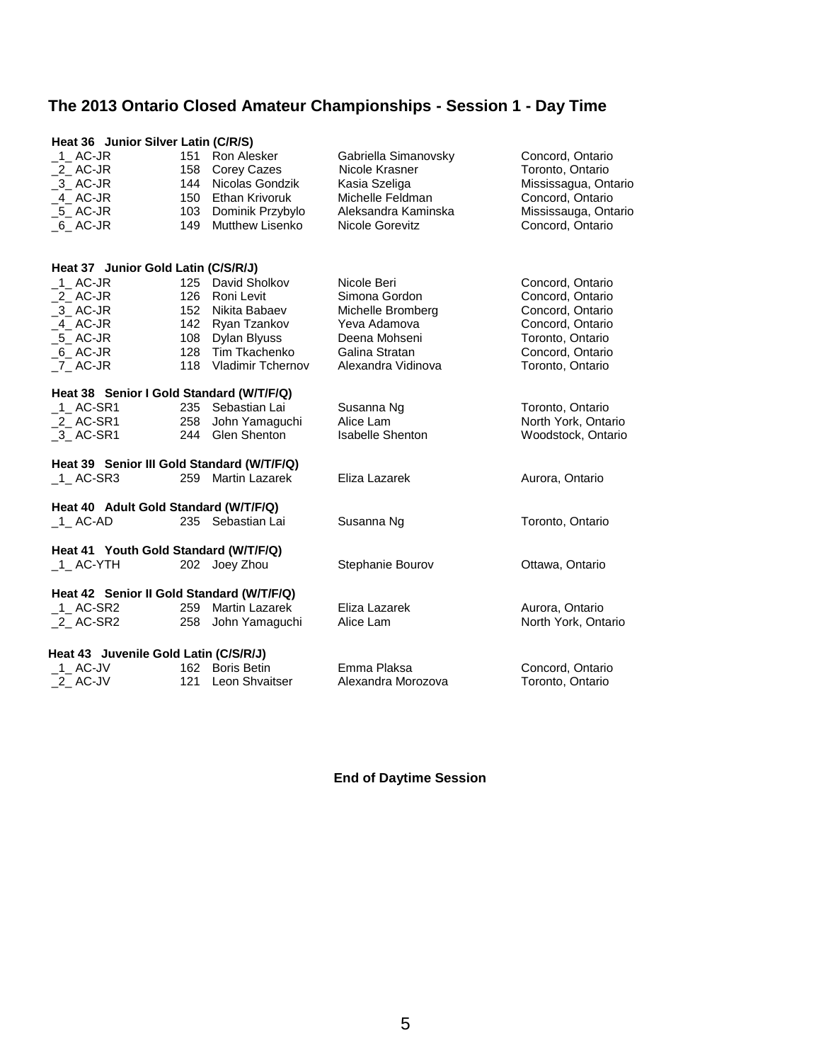| Heat 36 Junior Silver Latin (C/R/S)        |     |                       |                         |                      |
|--------------------------------------------|-----|-----------------------|-------------------------|----------------------|
| $-1$ AC-JR                                 | 151 | Ron Alesker           | Gabriella Simanovsky    | Concord, Ontario     |
| 2 AC-JR                                    |     | 158 Corey Cazes       | Nicole Krasner          | Toronto, Ontario     |
| $-3$ AC-JR                                 |     | 144 Nicolas Gondzik   | Kasia Szeliga           | Mississagua, Ontario |
| $-4$ AC-JR                                 |     | 150 Ethan Krivoruk    | Michelle Feldman        | Concord, Ontario     |
| $5$ AC-JR                                  |     | 103 Dominik Przybylo  | Aleksandra Kaminska     | Mississauga, Ontario |
| 6 AC-JR                                    | 149 | Mutthew Lisenko       | Nicole Gorevitz         | Concord, Ontario     |
| Heat 37 Junior Gold Latin (C/S/R/J)        |     |                       |                         |                      |
| $\_$ 1 $\_$ AC-JR                          |     | 125 David Sholkov     | Nicole Beri             | Concord, Ontario     |
| $2$ AC-JR                                  |     | 126 Roni Levit        | Simona Gordon           | Concord, Ontario     |
| $-3$ AC-JR                                 |     | 152 Nikita Babaev     | Michelle Bromberg       | Concord, Ontario     |
| $-4$ AC-JR                                 |     | 142 Ryan Tzankov      | Yeva Adamova            | Concord, Ontario     |
| $5$ AC-JR                                  |     | 108 Dylan Blyuss      | Deena Mohseni           | Toronto, Ontario     |
| $_6$ AC-JR                                 |     | 128 Tim Tkachenko     | Galina Stratan          | Concord, Ontario     |
| 7 AC-JR                                    |     | 118 Vladimir Tchernov | Alexandra Vidinova      | Toronto, Ontario     |
| Heat 38 Senior I Gold Standard (W/T/F/Q)   |     |                       |                         |                      |
| 1 AC-SR1                                   |     | 235 Sebastian Lai     | Susanna Ng              | Toronto, Ontario     |
| $2$ AC-SR1                                 |     | 258 John Yamaguchi    | Alice Lam               | North York, Ontario  |
| 3 AC-SR1                                   |     | 244 Glen Shenton      | <b>Isabelle Shenton</b> | Woodstock, Ontario   |
| Heat 39 Senior III Gold Standard (W/T/F/Q) |     |                       |                         |                      |
| $_1$ AC-SR3                                | 259 | <b>Martin Lazarek</b> | Eliza Lazarek           | Aurora, Ontario      |
| Heat 40 Adult Gold Standard (W/T/F/Q)      |     |                       |                         |                      |
| $1$ AC-AD                                  |     | 235 Sebastian Lai     | Susanna Ng              | Toronto, Ontario     |
| Heat 41 Youth Gold Standard (W/T/F/Q)      |     |                       |                         |                      |
| $_1$ AC-YTH                                |     | 202 Joey Zhou         | Stephanie Bourov        | Ottawa, Ontario      |
| Heat 42 Senior II Gold Standard (W/T/F/Q)  |     |                       |                         |                      |
| $-1$ AC-SR2                                |     | 259 Martin Lazarek    | Eliza Lazarek           | Aurora, Ontario      |
| 2 AC-SR2                                   | 258 | John Yamaguchi        | Alice Lam               | North York, Ontario  |
| Heat 43 Juvenile Gold Latin (C/S/R/J)      |     |                       |                         |                      |
| $-1$ AC-JV                                 |     | 162 Boris Betin       | Emma Plaksa             | Concord, Ontario     |
| $_2$ AC-JV                                 | 121 | Leon Shvaitser        | Alexandra Morozova      | Toronto, Ontario     |

**End of Daytime Session**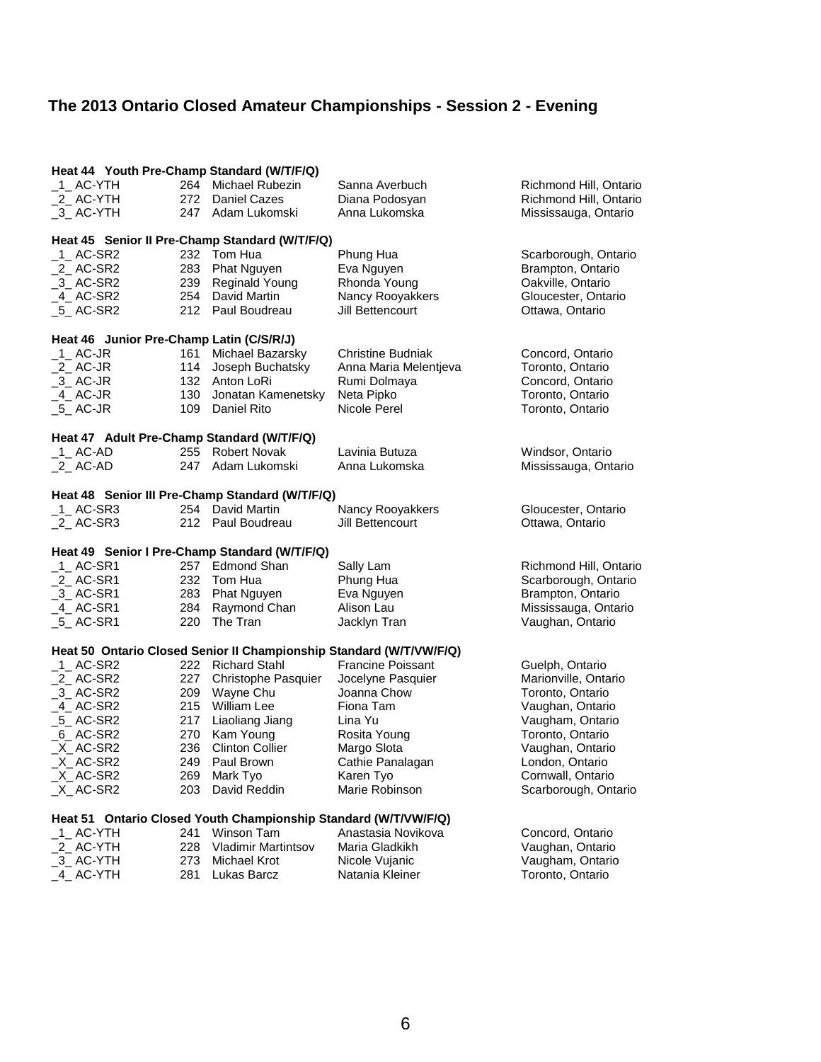## **The 2013 Ontario Closed Amateur Championships - Session 2 - Evening**

| Heat 44 Youth Pre-Champ Standard (W/T/F/Q) |       |                                                                 |                                                                     |                        |
|--------------------------------------------|-------|-----------------------------------------------------------------|---------------------------------------------------------------------|------------------------|
| $-1$ AC-YTH                                |       | 264 Michael Rubezin                                             | Sanna Averbuch                                                      | Richmond Hill, Ontario |
| $2$ AC-YTH                                 |       | 272 Daniel Cazes                                                | Diana Podosyan                                                      | Richmond Hill, Ontario |
| 3 AC-YTH                                   |       | 247 Adam Lukomski                                               | Anna Lukomska                                                       | Mississauga, Ontario   |
|                                            |       | Heat 45 Senior II Pre-Champ Standard (W/T/F/Q)                  |                                                                     |                        |
| _1_ AC-SR2                                 |       | 232 Tom Hua                                                     | Phung Hua                                                           | Scarborough, Ontario   |
| $2$ AC-SR2                                 |       | 283 Phat Nguyen                                                 | Eva Nguyen                                                          | Brampton, Ontario      |
| $-3$ AC-SR2                                | 239   | <b>Reginald Young</b>                                           | Rhonda Young                                                        | Oakville, Ontario      |
| 4_AC-SR2                                   |       | 254 David Martin                                                | Nancy Rooyakkers                                                    | Gloucester, Ontario    |
| $-5$ AC-SR2                                |       | 212 Paul Boudreau                                               | Jill Bettencourt                                                    | Ottawa, Ontario        |
| Heat 46 Junior Pre-Champ Latin (C/S/R/J)   |       |                                                                 |                                                                     |                        |
| $_1$ AC-JR                                 | 161 - | Michael Bazarsky                                                | <b>Christine Budniak</b>                                            | Concord, Ontario       |
| $2$ AC-JR                                  |       | 114 Joseph Buchatsky                                            | Anna Maria Melentjeva                                               | Toronto, Ontario       |
| $-3$ AC-JR                                 |       | 132 Anton LoRi                                                  | Rumi Dolmaya                                                        | Concord, Ontario       |
| $-4$ AC-JR                                 | 130   | Jonatan Kamenetsky                                              | Neta Pipko                                                          | Toronto, Ontario       |
| $-5$ AC-JR                                 |       | 109 Daniel Rito                                                 | Nicole Perel                                                        | Toronto, Ontario       |
| Heat 47 Adult Pre-Champ Standard (W/T/F/Q) |       |                                                                 |                                                                     |                        |
| $-1$ AC-AD                                 |       | 255 Robert Novak                                                | Lavinia Butuza                                                      | Windsor, Ontario       |
| $_2$ AC-AD                                 | 247   | Adam Lukomski                                                   | Anna Lukomska                                                       | Mississauga, Ontario   |
|                                            |       | Heat 48 Senior III Pre-Champ Standard (W/T/F/Q)                 |                                                                     |                        |
| 1 AC-SR3                                   |       | 254 David Martin                                                | Nancy Rooyakkers                                                    | Gloucester, Ontario    |
| $_2$ AC-SR3                                |       | 212 Paul Boudreau                                               | Jill Bettencourt                                                    | Ottawa, Ontario        |
|                                            |       | Heat 49 Senior I Pre-Champ Standard (W/T/F/Q)                   |                                                                     |                        |
| $_1$ AC-SR1                                |       | 257 Edmond Shan                                                 | Sally Lam                                                           | Richmond Hill, Ontario |
| $2$ AC-SR1                                 |       | 232 Tom Hua                                                     | Phung Hua                                                           | Scarborough, Ontario   |
| $-3$ AC-SR1                                |       | 283 Phat Nguyen                                                 | Eva Nguyen                                                          | Brampton, Ontario      |
| _4_ AC-SR1                                 |       | 284 Raymond Chan                                                | Alison Lau                                                          | Mississauga, Ontario   |
| $-5$ AC-SR1                                | 220   | The Tran                                                        | Jacklyn Tran                                                        | Vaughan, Ontario       |
|                                            |       |                                                                 |                                                                     |                        |
|                                            |       | 222 Richard Stahl                                               | Heat 50 Ontario Closed Senior II Championship Standard (W/T/VW/F/Q) |                        |
| $_1$ AC-SR2                                |       |                                                                 | <b>Francine Poissant</b>                                            | Guelph, Ontario        |
| $2$ AC-SR2                                 | 227   | Christophe Pasquier                                             | Jocelyne Pasquier<br>Joanna Chow                                    | Marionville, Ontario   |
| 3 AC-SR2                                   | 209   | Wayne Chu                                                       |                                                                     | Toronto, Ontario       |
| $-4$ AC-SR2                                |       | 215 William Lee                                                 | Fiona Tam<br>Lina Yu                                                | Vaughan, Ontario       |
| $-5$ AC-SR2                                |       | 217 Liaoliang Jiang                                             |                                                                     | Vaugham, Ontario       |
| $_6$ AC-SR2                                | 270   | Kam Young                                                       | Rosita Young                                                        | Toronto, Ontario       |
| $X$ <sub>_</sub> AC-SR <sub>2</sub>        | 236   | <b>Clinton Collier</b>                                          | Margo Slota                                                         | Vaughan, Ontario       |
| $X$ <sub>_</sub> AC-SR <sub>2</sub>        | 249   | Paul Brown                                                      | Cathie Panalagan                                                    | London, Ontario        |
| $X$ AC-SR2                                 | 269   | Mark Tyo                                                        | Karen Tyo                                                           | Cornwall, Ontario      |
| $X$ AC-SR2                                 | 203   | David Reddin                                                    | Marie Robinson                                                      | Scarborough, Ontario   |
|                                            |       | Heat 51 Ontario Closed Youth Championship Standard (W/T/VW/F/Q) |                                                                     |                        |
| _1_ AC-YTH                                 | 241   | Winson Tam                                                      | Anastasia Novikova                                                  | Concord, Ontario       |
| $2$ AC-YTH                                 | 228   | <b>Vladimir Martintsov</b>                                      | Maria Gladkikh                                                      | Vaughan, Ontario       |
| _3_AC-YTH                                  | 273   | <b>Michael Krot</b>                                             | Nicole Vujanic                                                      | Vaugham, Ontario       |
| 4 AC-YTH                                   | 281   | Lukas Barcz                                                     | Natania Kleiner                                                     | Toronto, Ontario       |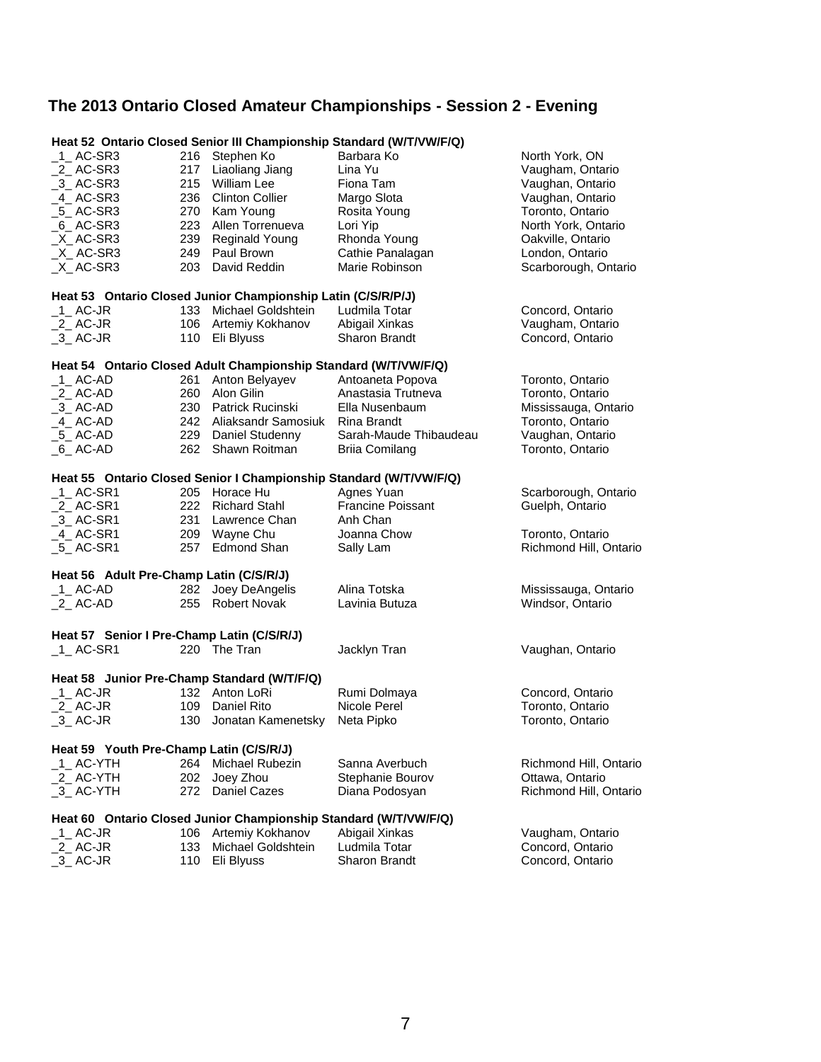## **The 2013 Ontario Closed Amateur Championships - Session 2 - Evening**

|                                             |                                         |                                                                  | Heat 52 Ontario Closed Senior III Championship Standard (W/T/VW/F/Q)             |                                         |  |  |  |
|---------------------------------------------|-----------------------------------------|------------------------------------------------------------------|----------------------------------------------------------------------------------|-----------------------------------------|--|--|--|
| $1$ AC-SR3                                  | 216                                     | Stephen Ko                                                       | Barbara Ko                                                                       | North York, ON                          |  |  |  |
| _2_ AC-SR3                                  | 217                                     | Liaoliang Jiang                                                  | Lina Yu                                                                          | Vaugham, Ontario                        |  |  |  |
| $-3$ AC-SR3                                 | 215                                     | <b>William Lee</b>                                               | Fiona Tam                                                                        | Vaughan, Ontario                        |  |  |  |
| 4 AC-SR3                                    |                                         | 236 Clinton Collier                                              | Margo Slota                                                                      | Vaughan, Ontario                        |  |  |  |
| $-5$ AC-SR3                                 |                                         | 270 Kam Young                                                    | Rosita Young                                                                     | Toronto, Ontario                        |  |  |  |
| $6$ AC-SR3                                  |                                         | 223 Allen Torrenueva                                             | Lori Yip                                                                         | North York, Ontario                     |  |  |  |
| X AC-SR3                                    | 239                                     | Reginald Young                                                   | Rhonda Young                                                                     | Oakville, Ontario                       |  |  |  |
| $X$ AC-SR3                                  | 249                                     | Paul Brown                                                       | Cathie Panalagan                                                                 | London, Ontario                         |  |  |  |
| X AC-SR3                                    |                                         | 203 David Reddin                                                 | Marie Robinson                                                                   | Scarborough, Ontario                    |  |  |  |
|                                             |                                         |                                                                  |                                                                                  |                                         |  |  |  |
|                                             |                                         | Heat 53 Ontario Closed Junior Championship Latin (C/S/R/P/J)     |                                                                                  |                                         |  |  |  |
| $-1$ AC-JR                                  |                                         | 133 Michael Goldshtein                                           | Ludmila Totar                                                                    | Concord, Ontario                        |  |  |  |
| $2$ AC-JR                                   |                                         | 106 Artemiy Kokhanov                                             | Abigail Xinkas                                                                   | Vaugham, Ontario                        |  |  |  |
| $-3$ AC-JR                                  |                                         | 110 Eli Blyuss                                                   | <b>Sharon Brandt</b>                                                             | Concord, Ontario                        |  |  |  |
|                                             |                                         | Heat 54 Ontario Closed Adult Championship Standard (W/T/VW/F/Q)  |                                                                                  |                                         |  |  |  |
| $-1$ AC-AD                                  | 261                                     | Anton Belyayev                                                   | Antoaneta Popova                                                                 | Toronto, Ontario                        |  |  |  |
| $2$ AC-AD                                   |                                         | 260 Alon Gilin                                                   | Anastasia Trutneva                                                               | Toronto, Ontario                        |  |  |  |
| $-3$ AC-AD                                  |                                         | 230 Patrick Rucinski                                             | Ella Nusenbaum                                                                   | Mississauga, Ontario                    |  |  |  |
| _4_ AC-AD                                   |                                         | 242 Aliaksandr Samosiuk                                          | Rina Brandt                                                                      | Toronto, Ontario                        |  |  |  |
| 5 AC-AD                                     |                                         | 229 Daniel Studenny                                              | Sarah-Maude Thibaudeau                                                           | Vaughan, Ontario                        |  |  |  |
| $_6$ AC-AD                                  |                                         | 262 Shawn Roitman                                                | <b>Briia Comilang</b>                                                            | Toronto, Ontario                        |  |  |  |
|                                             |                                         |                                                                  |                                                                                  |                                         |  |  |  |
| $1$ AC-SR1                                  |                                         | 205 Horace Hu                                                    | Heat 55 Ontario Closed Senior I Championship Standard (W/T/VW/F/Q)<br>Agnes Yuan |                                         |  |  |  |
| $2$ AC-SR1                                  |                                         | 222 Richard Stahl                                                | <b>Francine Poissant</b>                                                         | Scarborough, Ontario<br>Guelph, Ontario |  |  |  |
|                                             |                                         | 231 Lawrence Chan                                                | Anh Chan                                                                         |                                         |  |  |  |
| $-3$ AC-SR1                                 |                                         |                                                                  |                                                                                  |                                         |  |  |  |
| 4_AC-SR1                                    |                                         | 209 Wayne Chu<br>257 Edmond Shan                                 | Joanna Chow                                                                      | Toronto, Ontario                        |  |  |  |
| $5$ AC-SR1                                  |                                         |                                                                  | Sally Lam                                                                        | Richmond Hill, Ontario                  |  |  |  |
| Heat 56 Adult Pre-Champ Latin (C/S/R/J)     |                                         |                                                                  |                                                                                  |                                         |  |  |  |
| $-1$ AC-AD                                  | 282                                     | Joey DeAngelis                                                   | Alina Totska                                                                     | Mississauga, Ontario                    |  |  |  |
| $2$ AC-AD                                   | 255                                     | <b>Robert Novak</b>                                              | Lavinia Butuza                                                                   | Windsor, Ontario                        |  |  |  |
|                                             |                                         |                                                                  |                                                                                  |                                         |  |  |  |
| Heat 57 Senior I Pre-Champ Latin (C/S/R/J)  |                                         | 220 The Tran                                                     |                                                                                  |                                         |  |  |  |
| $-1$ AC-SR1                                 |                                         |                                                                  | Jacklyn Tran                                                                     | Vaughan, Ontario                        |  |  |  |
| Heat 58 Junior Pre-Champ Standard (W/T/F/Q) |                                         |                                                                  |                                                                                  |                                         |  |  |  |
| $1$ AC-JR                                   |                                         | 132 Anton LoRi                                                   | Rumi Dolmaya                                                                     | Concord, Ontario                        |  |  |  |
| $2$ AC-JR                                   |                                         | 109 Daniel Rito                                                  | Nicole Perel                                                                     | Toronto, Ontario                        |  |  |  |
| $-3$ AC-JR                                  | 130                                     | Jonatan Kamenetsky                                               | Neta Pipko                                                                       | Toronto, Ontario                        |  |  |  |
|                                             | Heat 59 Youth Pre-Champ Latin (C/S/R/J) |                                                                  |                                                                                  |                                         |  |  |  |
| _1_ AC-YTH                                  |                                         | 264 Michael Rubezin                                              | Sanna Averbuch                                                                   | Richmond Hill, Ontario                  |  |  |  |
| 2 AC-YTH                                    | 202                                     | Joey Zhou                                                        | Stephanie Bourov                                                                 | Ottawa, Ontario                         |  |  |  |
| 3 AC-YTH                                    | 272                                     | <b>Daniel Cazes</b>                                              | Diana Podosyan                                                                   | Richmond Hill, Ontario                  |  |  |  |
|                                             |                                         |                                                                  |                                                                                  |                                         |  |  |  |
|                                             |                                         | Heat 60 Ontario Closed Junior Championship Standard (W/T/VW/F/Q) |                                                                                  |                                         |  |  |  |
| _1_ AC-JR                                   | 106                                     | Artemiy Kokhanov                                                 | Abigail Xinkas                                                                   | Vaugham, Ontario                        |  |  |  |
| $2$ AC-JR                                   | 133                                     | Michael Goldshtein                                               | Ludmila Totar                                                                    | Concord, Ontario                        |  |  |  |
| 3_AC-JR                                     | 110                                     | Eli Blyuss                                                       | Sharon Brandt                                                                    | Concord, Ontario                        |  |  |  |